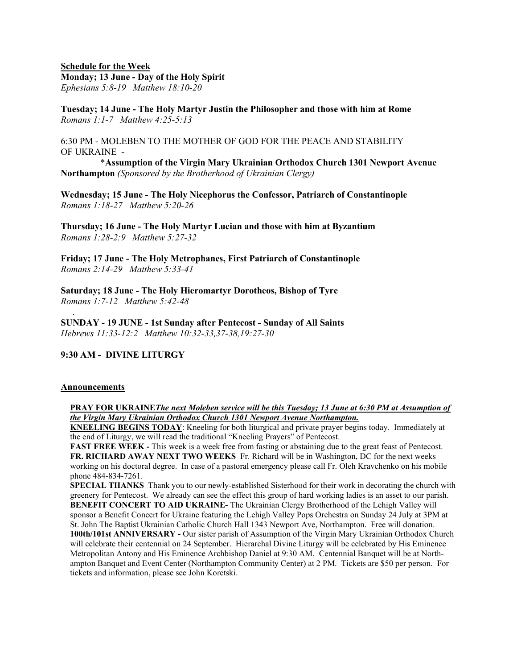### Schedule for the Week Monday; 13 June - Day of the Holy Spirit Ephesians 5:8-19 Matthew 18:10-20

Tuesday; 14 June - The Holy Martyr Justin the Philosopher and those with him at Rome Romans 1:1-7 Matthew 4:25-5:13

6:30 PM - MOLEBEN TO THE MOTHER OF GOD FOR THE PEACE AND STABILITY OF UKRAINE -

 \*Assumption of the Virgin Mary Ukrainian Orthodox Church 1301 Newport Avenue Northampton (Sponsored by the Brotherhood of Ukrainian Clergy)

Wednesday; 15 June - The Holy Nicephorus the Confessor, Patriarch of Constantinople Romans 1:18-27 Matthew 5:20-26

Thursday; 16 June - The Holy Martyr Lucian and those with him at Byzantium Romans 1:28-2:9 Matthew 5:27-32

Friday; 17 June - The Holy Metrophanes, First Patriarch of Constantinople Romans 2:14-29 Matthew 5:33-41

Saturday; 18 June - The Holy Hieromartyr Dorotheos, Bishop of Tyre Romans 1:7-12 Matthew 5:42-48

SUNDAY - 19 JUNE - 1st Sunday after Pentecost - Sunday of All Saints Hebrews 11:33-12:2 Matthew 10:32-33,37-38,19:27-30

# 9:30 AM - DIVINE LITURGY

#### Announcements

.

### PRAY FOR UKRAINEThe next Moleben service will be this Tuesday; 13 June at 6:30 PM at Assumption of the Virgin Mary Ukrainian Orthodox Church 1301 Newport Avenue Northampton.

KNEELING BEGINS TODAY: Kneeling for both liturgical and private prayer begins today. Immediately at the end of Liturgy, we will read the traditional "Kneeling Prayers" of Pentecost.

FAST FREE WEEK - This week is a week free from fasting or abstaining due to the great feast of Pentecost. FR. RICHARD AWAY NEXT TWO WEEKS Fr. Richard will be in Washington, DC for the next weeks working on his doctoral degree. In case of a pastoral emergency please call Fr. Oleh Kravchenko on his mobile phone 484-834-7261.

SPECIAL THANKS Thank you to our newly-established Sisterhood for their work in decorating the church with greenery for Pentecost. We already can see the effect this group of hard working ladies is an asset to our parish. BENEFIT CONCERT TO AID UKRAINE- The Ukrainian Clergy Brotherhood of the Lehigh Valley will sponsor a Benefit Concert for Ukraine featuring the Lehigh Valley Pops Orchestra on Sunday 24 July at 3PM at St. John The Baptist Ukrainian Catholic Church Hall 1343 Newport Ave, Northampton. Free will donation. 100th/101st ANNIVERSARY - Our sister parish of Assumption of the Virgin Mary Ukrainian Orthodox Church will celebrate their centennial on 24 September. Hierarchal Divine Liturgy will be celebrated by His Eminence Metropolitan Antony and His Eminence Archbishop Daniel at 9:30 AM. Centennial Banquet will be at Northampton Banquet and Event Center (Northampton Community Center) at 2 PM. Tickets are \$50 per person. For tickets and information, please see John Koretski.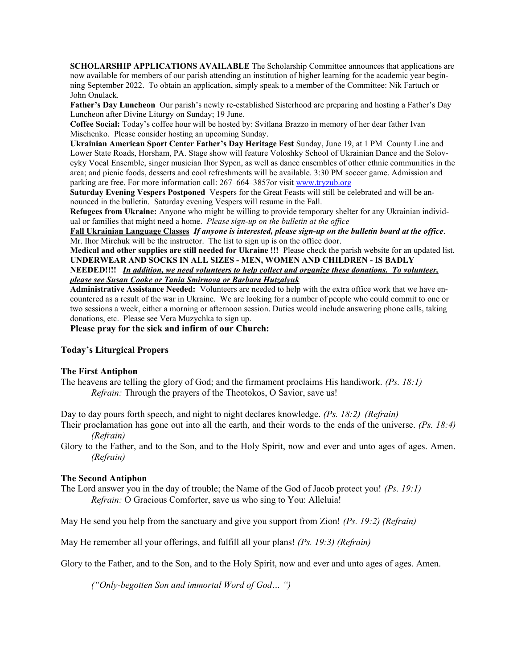SCHOLARSHIP APPLICATIONS AVAILABLE The Scholarship Committee announces that applications are now available for members of our parish attending an institution of higher learning for the academic year beginning September 2022. To obtain an application, simply speak to a member of the Committee: Nik Fartuch or John Onulack.

Father's Dav Luncheon Our parish's newly re-established Sisterhood are preparing and hosting a Father's Day Luncheon after Divine Liturgy on Sunday; 19 June.

Coffee Social: Today's coffee hour will be hosted by: Svitlana Brazzo in memory of her dear father Ivan Mischenko. Please consider hosting an upcoming Sunday.

Ukrainian American Sport Center Father's Day Heritage Fest Sunday, June 19, at 1 PM County Line and Lower State Roads, Horsham, PA. Stage show will feature Voloshky School of Ukrainian Dance and the Soloveyky Vocal Ensemble, singer musician Ihor Sypen, as well as dance ensembles of other ethnic communities in the area; and picnic foods, desserts and cool refreshments will be available. 3:30 PM soccer game. Admission and parking are free. For more information call: 267–664–3857or visit www.tryzub.org

Saturday Evening Vespers Postponed Vespers for the Great Feasts will still be celebrated and will be announced in the bulletin. Saturday evening Vespers will resume in the Fall.

Refugees from Ukraine: Anyone who might be willing to provide temporary shelter for any Ukrainian individual or families that might need a home. Please sign-up on the bulletin at the office

Fall Ukrainian Language Classes If anyone is interested, please sign-up on the bulletin board at the office. Mr. Ihor Mirchuk will be the instructor. The list to sign up is on the office door.

Medical and other supplies are still needed for Ukraine !!! Please check the parish website for an updated list. UNDERWEAR AND SOCKS IN ALL SIZES - MEN, WOMEN AND CHILDREN - IS BADLY

NEEDED!!!! In addition, we need volunteers to help collect and organize these donations. To volunteer, please see Susan Cooke or Tania Smirnova or Barbara Hutzalyuk

Administrative Assistance Needed: Volunteers are needed to help with the extra office work that we have encountered as a result of the war in Ukraine. We are looking for a number of people who could commit to one or two sessions a week, either a morning or afternoon session. Duties would include answering phone calls, taking donations, etc. Please see Vera Muzychka to sign up.

Please pray for the sick and infirm of our Church:

#### Today's Liturgical Propers

#### The First Antiphon

The heavens are telling the glory of God; and the firmament proclaims His handiwork. ( $Ps$ . 18:1) Refrain: Through the prayers of the Theotokos, O Savior, save us!

Day to day pours forth speech, and night to night declares knowledge. (Ps. 18:2) (Refrain)

Their proclamation has gone out into all the earth, and their words to the ends of the universe. (Ps. 18:4) (Refrain)

Glory to the Father, and to the Son, and to the Holy Spirit, now and ever and unto ages of ages. Amen. (Refrain)

### The Second Antiphon

The Lord answer you in the day of trouble; the Name of the God of Jacob protect you!  $(P_{\rm S}, 19; 1)$ Refrain: O Gracious Comforter, save us who sing to You: Alleluia!

May He send you help from the sanctuary and give you support from Zion! ( $Ps$ . 19:2) (Refrain)

May He remember all your offerings, and fulfill all your plans! (Ps. 19:3) (Refrain)

Glory to the Father, and to the Son, and to the Holy Spirit, now and ever and unto ages of ages. Amen.

("Only-begotten Son and immortal Word of God… ")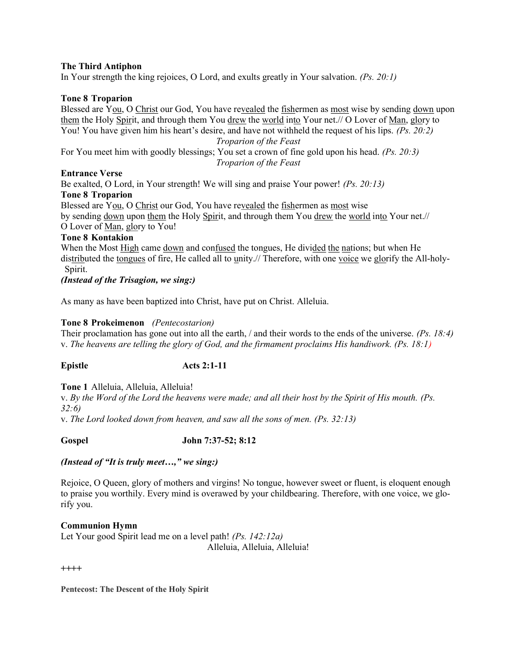# The Third Antiphon

In Your strength the king rejoices, O Lord, and exults greatly in Your salvation. (Ps. 20:1)

# Tone 8 Troparion

Blessed are You, O Christ our God, You have revealed the fishermen as most wise by sending down upon them the Holy Spirit, and through them You drew the world into Your net.// O Lover of Man, glory to You! You have given him his heart's desire, and have not withheld the request of his lips. (Ps. 20:2) Troparion of the Feast

For You meet him with goodly blessings; You set a crown of fine gold upon his head. (Ps. 20:3) Troparion of the Feast

# Entrance Verse

Be exalted, O Lord, in Your strength! We will sing and praise Your power! (Ps. 20:13) Tone 8 Troparion

Blessed are You, O Christ our God, You have revealed the fishermen as most wise by sending down upon them the Holy Spirit, and through them You drew the world into Your net.// O Lover of Man, glory to You!

# Tone 8 Kontakion

When the Most High came down and confused the tongues, He divided the nations; but when He distributed the tongues of fire, He called all to unity.// Therefore, with one voice we glorify the All-holy-Spirit.

(Instead of the Trisagion, we sing:)

As many as have been baptized into Christ, have put on Christ. Alleluia.

# Tone 8 Prokeimenon (Pentecostarion)

Their proclamation has gone out into all the earth, / and their words to the ends of the universe. (Ps. 18:4) v. The heavens are telling the glory of God, and the firmament proclaims His handiwork. (Ps. 18:1)

Epistle Acts 2:1-11

Tone 1 Alleluia, Alleluia, Alleluia!

v. By the Word of the Lord the heavens were made; and all their host by the Spirit of His mouth. (Ps. 32:6)

v. The Lord looked down from heaven, and saw all the sons of men. (Ps. 32:13)

Gospel John 7:37-52; 8:12

# (Instead of "It is truly meet…," we sing:)

Rejoice, O Queen, glory of mothers and virgins! No tongue, however sweet or fluent, is eloquent enough to praise you worthily. Every mind is overawed by your childbearing. Therefore, with one voice, we glorify you.

# Communion Hymn

Let Your good Spirit lead me on a level path! *(Ps. 142:12a)* Alleluia, Alleluia, Alleluia!

++++

Pentecost: The Descent of the Holy Spirit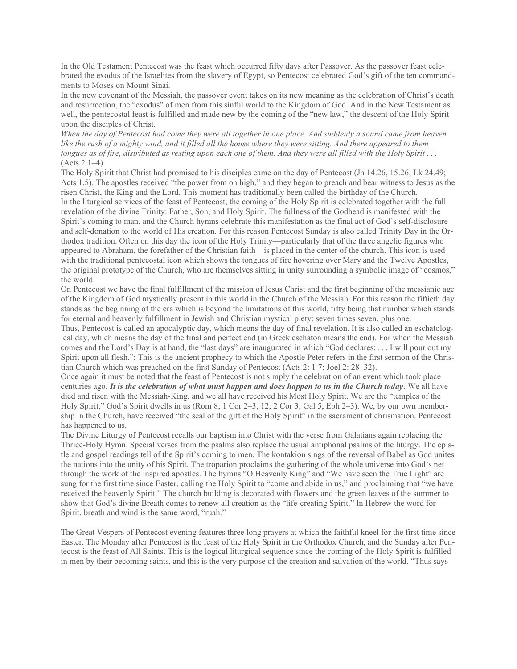In the Old Testament Pentecost was the feast which occurred fifty days after Passover. As the passover feast celebrated the exodus of the Israelites from the slavery of Egypt, so Pentecost celebrated God's gift of the ten commandments to Moses on Mount Sinai.

In the new covenant of the Messiah, the passover event takes on its new meaning as the celebration of Christ's death and resurrection, the "exodus" of men from this sinful world to the Kingdom of God. And in the New Testament as well, the pentecostal feast is fulfilled and made new by the coming of the "new law," the descent of the Holy Spirit upon the disciples of Christ.

When the day of Pentecost had come they were all together in one place. And suddenly a sound came from heaven like the rush of a mighty wind, and it filled all the house where they were sitting. And there appeared to them tongues as of fire, distributed as resting upon each one of them. And they were all filled with the Holy Spirit . . . (Acts 2.1–4).

The Holy Spirit that Christ had promised to his disciples came on the day of Pentecost (Jn 14.26, 15.26; Lk 24.49; Acts 1.5). The apostles received "the power from on high," and they began to preach and bear witness to Jesus as the risen Christ, the King and the Lord. This moment has traditionally been called the birthday of the Church. In the liturgical services of the feast of Pentecost, the coming of the Holy Spirit is celebrated together with the full revelation of the divine Trinity: Father, Son, and Holy Spirit. The fullness of the Godhead is manifested with the Spirit's coming to man, and the Church hymns celebrate this manifestation as the final act of God's self-disclosure and self-donation to the world of His creation. For this reason Pentecost Sunday is also called Trinity Day in the Orthodox tradition. Often on this day the icon of the Holy Trinity—particularly that of the three angelic figures who appeared to Abraham, the forefather of the Christian faith—is placed in the center of the church. This icon is used with the traditional pentecostal icon which shows the tongues of fire hovering over Mary and the Twelve Apostles, the original prototype of the Church, who are themselves sitting in unity surrounding a symbolic image of "cosmos," the world.

On Pentecost we have the final fulfillment of the mission of Jesus Christ and the first beginning of the messianic age of the Kingdom of God mystically present in this world in the Church of the Messiah. For this reason the fiftieth day stands as the beginning of the era which is beyond the limitations of this world, fifty being that number which stands for eternal and heavenly fulfillment in Jewish and Christian mystical piety: seven times seven, plus one.

Thus, Pentecost is called an apocalyptic day, which means the day of final revelation. It is also called an eschatological day, which means the day of the final and perfect end (in Greek eschaton means the end). For when the Messiah comes and the Lord's Day is at hand, the "last days" are inaugurated in which "God declares: . . . I will pour out my Spirit upon all flesh."; This is the ancient prophecy to which the Apostle Peter refers in the first sermon of the Christian Church which was preached on the first Sunday of Pentecost (Acts 2: 1 7; Joel 2: 28–32).

Once again it must be noted that the feast of Pentecost is not simply the celebration of an event which took place centuries ago. It is the celebration of what must happen and does happen to us in the Church today. We all have died and risen with the Messiah-King, and we all have received his Most Holy Spirit. We are the "temples of the Holy Spirit." God's Spirit dwells in us (Rom 8; 1 Cor 2–3, 12; 2 Cor 3; Gal 5; Eph 2–3). We, by our own membership in the Church, have received "the seal of the gift of the Holy Spirit" in the sacrament of chrismation. Pentecost has happened to us.

The Divine Liturgy of Pentecost recalls our baptism into Christ with the verse from Galatians again replacing the Thrice-Holy Hymn. Special verses from the psalms also replace the usual antiphonal psalms of the liturgy. The epistle and gospel readings tell of the Spirit's coming to men. The kontakion sings of the reversal of Babel as God unites the nations into the unity of his Spirit. The troparion proclaims the gathering of the whole universe into God's net through the work of the inspired apostles. The hymns "O Heavenly King" and "We have seen the True Light" are sung for the first time since Easter, calling the Holy Spirit to "come and abide in us," and proclaiming that "we have received the heavenly Spirit." The church building is decorated with flowers and the green leaves of the summer to show that God's divine Breath comes to renew all creation as the "life-creating Spirit." In Hebrew the word for Spirit, breath and wind is the same word, "ruah."

The Great Vespers of Pentecost evening features three long prayers at which the faithful kneel for the first time since Easter. The Monday after Pentecost is the feast of the Holy Spirit in the Orthodox Church, and the Sunday after Pentecost is the feast of All Saints. This is the logical liturgical sequence since the coming of the Holy Spirit is fulfilled in men by their becoming saints, and this is the very purpose of the creation and salvation of the world. "Thus says